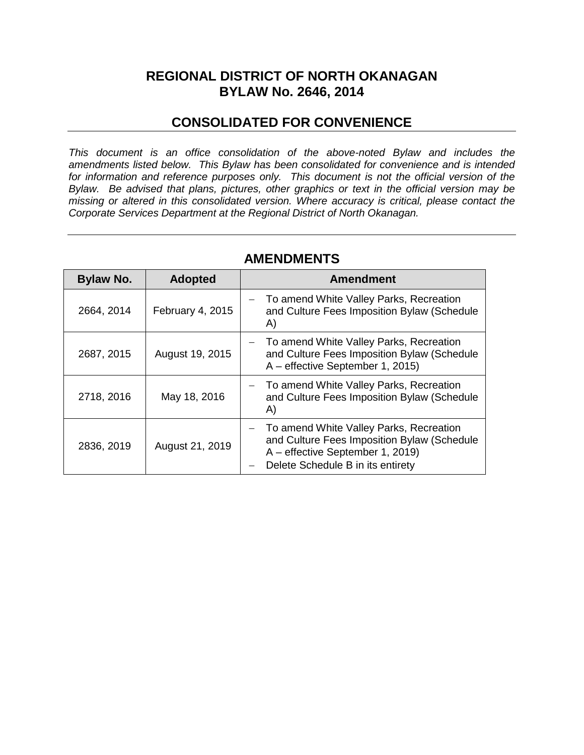## **REGIONAL DISTRICT OF NORTH OKANAGAN BYLAW No. 2646, 2014**

### **CONSOLIDATED FOR CONVENIENCE**

*This document is an office consolidation of the above-noted Bylaw and includes the amendments listed below. This Bylaw has been consolidated for convenience and is intended for information and reference purposes only. This document is not the official version of the Bylaw. Be advised that plans, pictures, other graphics or text in the official version may be missing or altered in this consolidated version. Where accuracy is critical, please contact the Corporate Services Department at the Regional District of North Okanagan.* 

| <b>Bylaw No.</b> | <b>Adopted</b>   | <b>Amendment</b>                                                                                                                                                |
|------------------|------------------|-----------------------------------------------------------------------------------------------------------------------------------------------------------------|
| 2664, 2014       | February 4, 2015 | To amend White Valley Parks, Recreation<br>and Culture Fees Imposition Bylaw (Schedule<br>A)                                                                    |
| 2687, 2015       | August 19, 2015  | To amend White Valley Parks, Recreation<br>and Culture Fees Imposition Bylaw (Schedule<br>A – effective September 1, 2015)                                      |
| 2718, 2016       | May 18, 2016     | - To amend White Valley Parks, Recreation<br>and Culture Fees Imposition Bylaw (Schedule<br>A)                                                                  |
| 2836, 2019       | August 21, 2019  | To amend White Valley Parks, Recreation<br>and Culture Fees Imposition Bylaw (Schedule<br>A – effective September 1, 2019)<br>Delete Schedule B in its entirety |

#### **AMENDMENTS**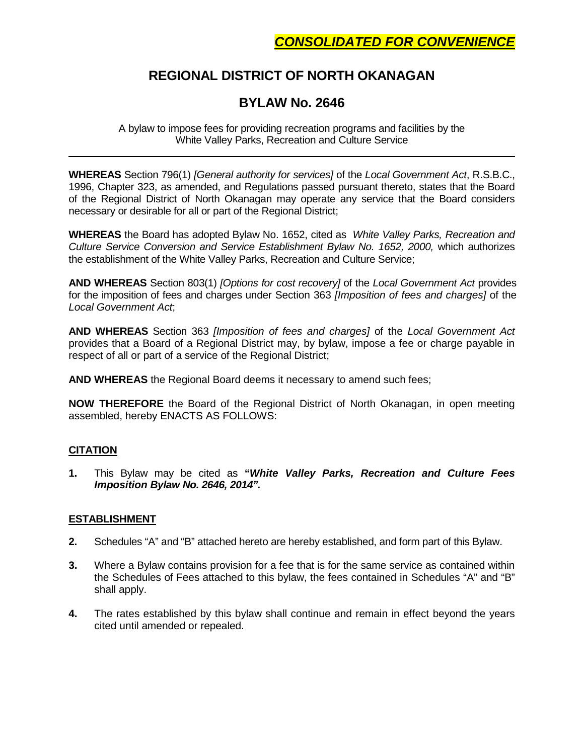## **REGIONAL DISTRICT OF NORTH OKANAGAN**

## **BYLAW No. 2646**

A bylaw to impose fees for providing recreation programs and facilities by the White Valley Parks, Recreation and Culture Service

**WHEREAS** Section 796(1) *[General authority for services]* of the *Local Government Act*, R.S.B.C., 1996, Chapter 323, as amended, and Regulations passed pursuant thereto, states that the Board of the Regional District of North Okanagan may operate any service that the Board considers necessary or desirable for all or part of the Regional District;

**WHEREAS** the Board has adopted Bylaw No. 1652, cited as *White Valley Parks, Recreation and Culture Service Conversion and Service Establishment Bylaw No. 1652, 2000,* which authorizes the establishment of the White Valley Parks, Recreation and Culture Service;

**AND WHEREAS** Section 803(1) *[Options for cost recovery]* of the *Local Government Act* provides for the imposition of fees and charges under Section 363 *[Imposition of fees and charges]* of the *Local Government Act*;

**AND WHEREAS** Section 363 *[Imposition of fees and charges]* of the *Local Government Act* provides that a Board of a Regional District may, by bylaw, impose a fee or charge payable in respect of all or part of a service of the Regional District;

**AND WHEREAS** the Regional Board deems it necessary to amend such fees;

**NOW THEREFORE** the Board of the Regional District of North Okanagan, in open meeting assembled, hereby ENACTS AS FOLLOWS:

#### **CITATION**

**1.** This Bylaw may be cited as **"***White Valley Parks, Recreation and Culture Fees Imposition Bylaw No. 2646, 2014".*

#### **ESTABLISHMENT**

- **2.** Schedules "A" and "B" attached hereto are hereby established, and form part of this Bylaw.
- **3.** Where a Bylaw contains provision for a fee that is for the same service as contained within the Schedules of Fees attached to this bylaw, the fees contained in Schedules "A" and "B" shall apply.
- **4.** The rates established by this bylaw shall continue and remain in effect beyond the years cited until amended or repealed.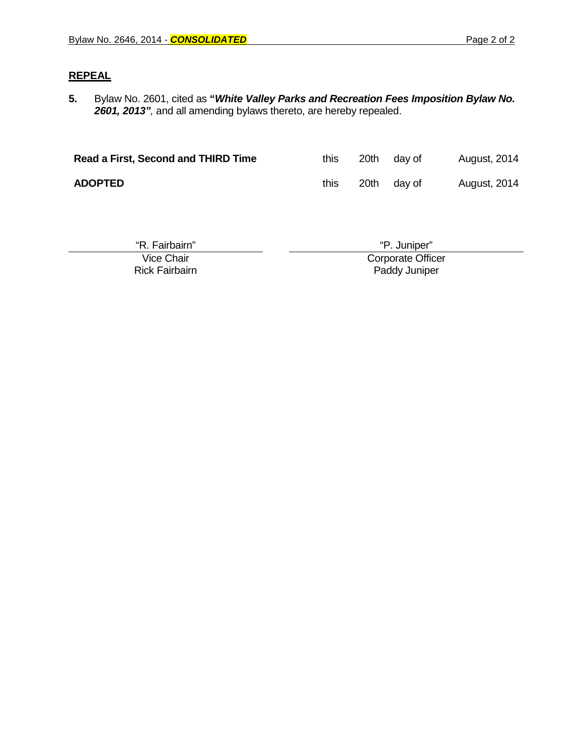#### **REPEAL**

**5.** Bylaw No. 2601, cited as **"***White Valley Parks and Recreation Fees Imposition Bylaw No. 2601, 2013",* and all amending bylaws thereto, are hereby repealed.

| Read a First, Second and THIRD Time | this | 20th | dav of      | <b>August, 2014</b> |
|-------------------------------------|------|------|-------------|---------------------|
| <b>ADOPTED</b>                      | this |      | 20th day of | <b>August, 2014</b> |

| "R. Fairbairn"        | "P. Juniper"      |
|-----------------------|-------------------|
| Vice Chair            | Corporate Officer |
| <b>Rick Fairbairn</b> | Paddy Juniper     |
|                       |                   |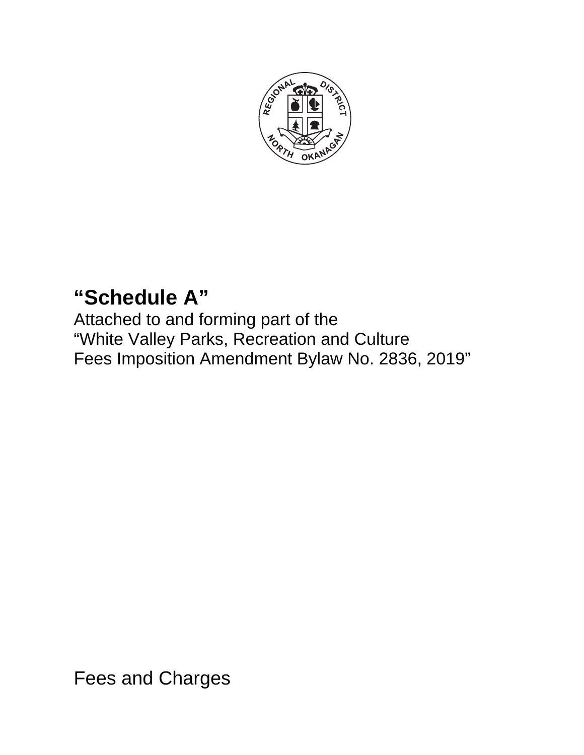

# **"Schedule A"**

Attached to and forming part of the "White Valley Parks, Recreation and Culture Fees Imposition Amendment Bylaw No. 2836, 2019"

Fees and Charges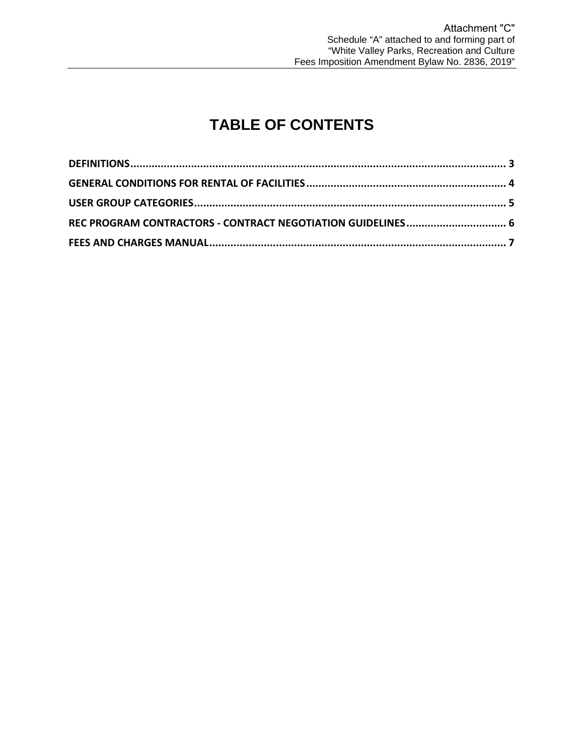## **TABLE OF CONTENTS**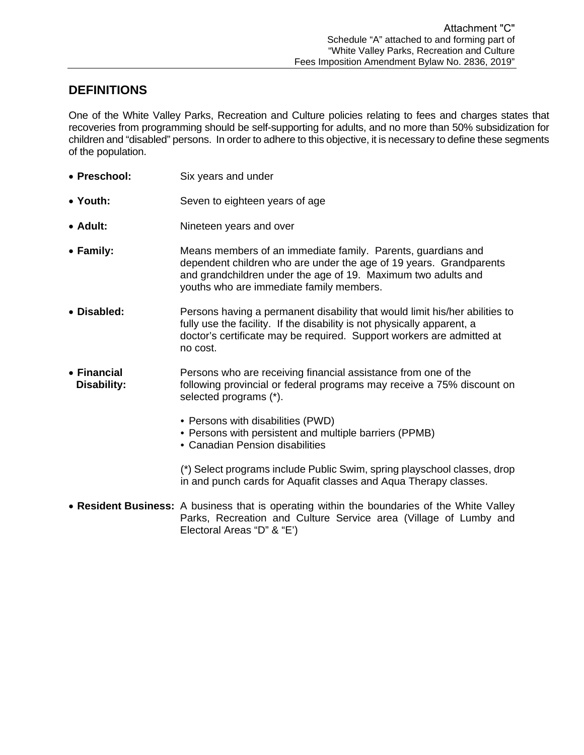## **DEFINITIONS**

One of the White Valley Parks, Recreation and Culture policies relating to fees and charges states that recoveries from programming should be self-supporting for adults, and no more than 50% subsidization for children and "disabled" persons. In order to adhere to this objective, it is necessary to define these segments of the population.

- **Preschool:** Six years and under
- Youth: Seven to eighteen years of age
- **Adult:** Nineteen years and over
- **Family:** Means members of an immediate family. Parents, guardians and dependent children who are under the age of 19 years. Grandparents and grandchildren under the age of 19. Maximum two adults and youths who are immediate family members.
- **Disabled:** Persons having a permanent disability that would limit his/her abilities to fully use the facility. If the disability is not physically apparent, a doctor's certificate may be required. Support workers are admitted at no cost.
- **Financial** Persons who are receiving financial assistance from one of the<br>**Disability:** following provincial or federal programs may receive a 75% dis following provincial or federal programs may receive a 75% discount on selected programs (\*).
	- Persons with disabilities (PWD)
	- Persons with persistent and multiple barriers (PPMB)
	- Canadian Pension disabilities

(\*) Select programs include Public Swim, spring playschool classes, drop in and punch cards for Aquafit classes and Aqua Therapy classes.

 **Resident Business:** A business that is operating within the boundaries of the White Valley Parks, Recreation and Culture Service area (Village of Lumby and Electoral Areas "D" & "E')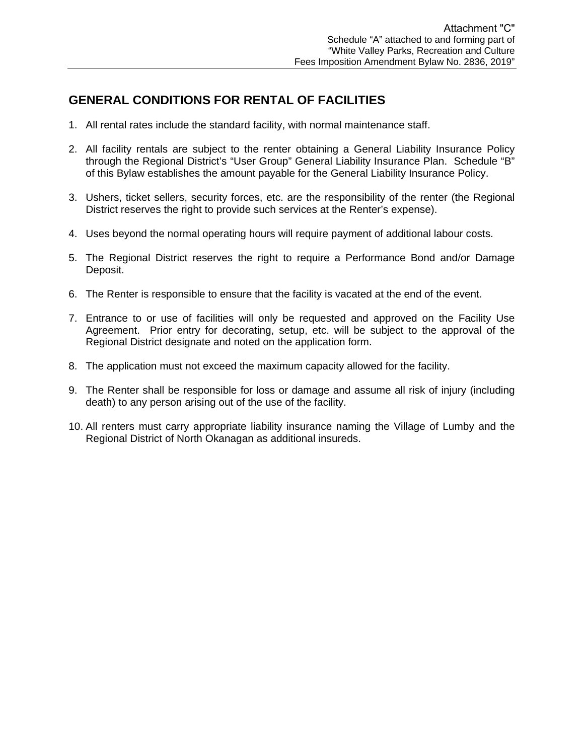## **GENERAL CONDITIONS FOR RENTAL OF FACILITIES**

- 1. All rental rates include the standard facility, with normal maintenance staff.
- 2. All facility rentals are subject to the renter obtaining a General Liability Insurance Policy through the Regional District's "User Group" General Liability Insurance Plan. Schedule "B" of this Bylaw establishes the amount payable for the General Liability Insurance Policy.
- 3. Ushers, ticket sellers, security forces, etc. are the responsibility of the renter (the Regional District reserves the right to provide such services at the Renter's expense).
- 4. Uses beyond the normal operating hours will require payment of additional labour costs.
- 5. The Regional District reserves the right to require a Performance Bond and/or Damage Deposit.
- 6. The Renter is responsible to ensure that the facility is vacated at the end of the event.
- 7. Entrance to or use of facilities will only be requested and approved on the Facility Use Agreement. Prior entry for decorating, setup, etc. will be subject to the approval of the Regional District designate and noted on the application form.
- 8. The application must not exceed the maximum capacity allowed for the facility.
- 9. The Renter shall be responsible for loss or damage and assume all risk of injury (including death) to any person arising out of the use of the facility.
- 10. All renters must carry appropriate liability insurance naming the Village of Lumby and the Regional District of North Okanagan as additional insureds.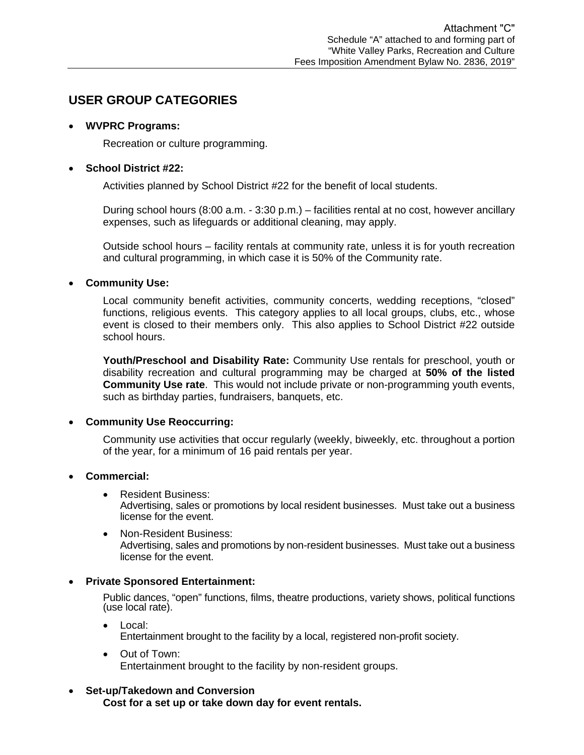## **USER GROUP CATEGORIES**

#### **WVPRC Programs:**

Recreation or culture programming.

#### **School District #22:**

Activities planned by School District #22 for the benefit of local students.

During school hours (8:00 a.m. - 3:30 p.m.) – facilities rental at no cost, however ancillary expenses, such as lifeguards or additional cleaning, may apply.

Outside school hours – facility rentals at community rate, unless it is for youth recreation and cultural programming, in which case it is 50% of the Community rate.

#### **Community Use:**

Local community benefit activities, community concerts, wedding receptions, "closed" functions, religious events. This category applies to all local groups, clubs, etc., whose event is closed to their members only. This also applies to School District #22 outside school hours.

**Youth/Preschool and Disability Rate:** Community Use rentals for preschool, youth or disability recreation and cultural programming may be charged at **50% of the listed Community Use rate**. This would not include private or non-programming youth events, such as birthday parties, fundraisers, banquets, etc.

#### **Community Use Reoccurring:**

Community use activities that occur regularly (weekly, biweekly, etc. throughout a portion of the year, for a minimum of 16 paid rentals per year.

#### **Commercial:**

- Resident Business: Advertising, sales or promotions by local resident businesses. Must take out a business license for the event.
- Non-Resident Business: Advertising, sales and promotions by non-resident businesses. Must take out a business license for the event.

#### **Private Sponsored Entertainment:**

Public dances, "open" functions, films, theatre productions, variety shows, political functions (use local rate).

- Local: Entertainment brought to the facility by a local, registered non-profit society.
- Out of Town: Entertainment brought to the facility by non-resident groups.

#### **Set-up/Takedown and Conversion**

**Cost for a set up or take down day for event rentals.**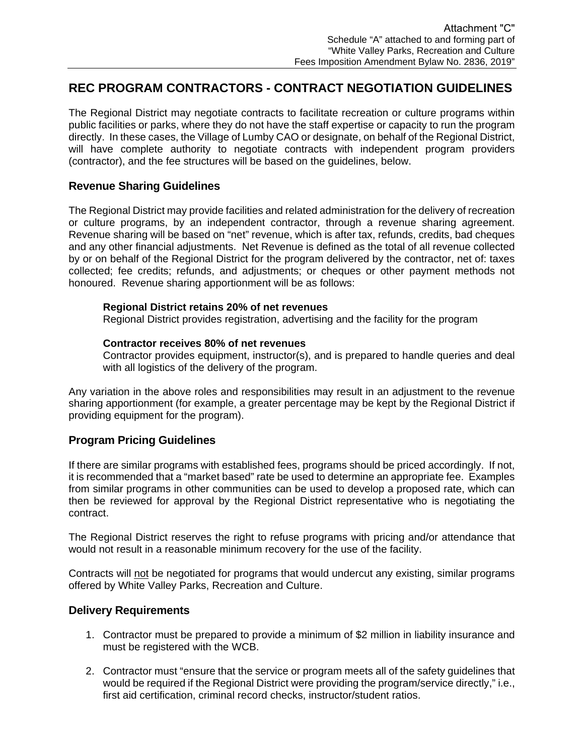## **REC PROGRAM CONTRACTORS - CONTRACT NEGOTIATION GUIDELINES**

The Regional District may negotiate contracts to facilitate recreation or culture programs within public facilities or parks, where they do not have the staff expertise or capacity to run the program directly. In these cases, the Village of Lumby CAO or designate, on behalf of the Regional District, will have complete authority to negotiate contracts with independent program providers (contractor), and the fee structures will be based on the guidelines, below.

#### **Revenue Sharing Guidelines**

The Regional District may provide facilities and related administration for the delivery of recreation or culture programs, by an independent contractor, through a revenue sharing agreement. Revenue sharing will be based on "net" revenue, which is after tax, refunds, credits, bad cheques and any other financial adjustments. Net Revenue is defined as the total of all revenue collected by or on behalf of the Regional District for the program delivered by the contractor, net of: taxes collected; fee credits; refunds, and adjustments; or cheques or other payment methods not honoured. Revenue sharing apportionment will be as follows:

#### **Regional District retains 20% of net revenues**

Regional District provides registration, advertising and the facility for the program

#### **Contractor receives 80% of net revenues**

Contractor provides equipment, instructor(s), and is prepared to handle queries and deal with all logistics of the delivery of the program.

Any variation in the above roles and responsibilities may result in an adjustment to the revenue sharing apportionment (for example, a greater percentage may be kept by the Regional District if providing equipment for the program).

#### **Program Pricing Guidelines**

If there are similar programs with established fees, programs should be priced accordingly. If not, it is recommended that a "market based" rate be used to determine an appropriate fee. Examples from similar programs in other communities can be used to develop a proposed rate, which can then be reviewed for approval by the Regional District representative who is negotiating the contract.

The Regional District reserves the right to refuse programs with pricing and/or attendance that would not result in a reasonable minimum recovery for the use of the facility.

Contracts will not be negotiated for programs that would undercut any existing, similar programs offered by White Valley Parks, Recreation and Culture.

#### **Delivery Requirements**

- 1. Contractor must be prepared to provide a minimum of \$2 million in liability insurance and must be registered with the WCB.
- 2. Contractor must "ensure that the service or program meets all of the safety guidelines that would be required if the Regional District were providing the program/service directly," i.e., first aid certification, criminal record checks, instructor/student ratios.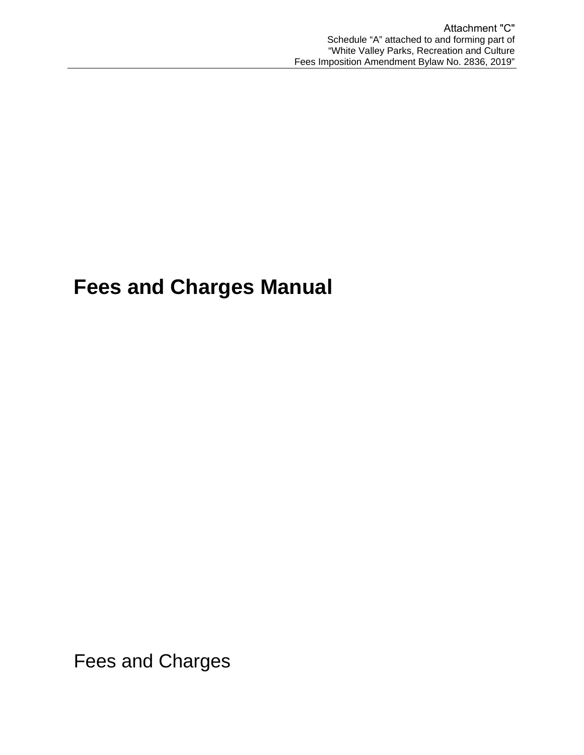## **Fees and Charges Manual**

Fees and Charges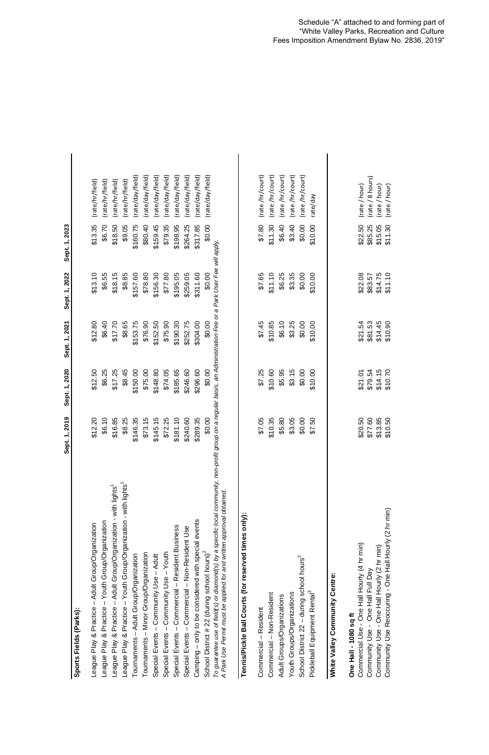|                                                                                                                                                                                                                                            | 2019<br>Sept. 1,     | Sept. 1, 2020 | Sept. 1, 2021 | Sept. 1, 2022 | Sept. 1, 2023 |                  |  |
|--------------------------------------------------------------------------------------------------------------------------------------------------------------------------------------------------------------------------------------------|----------------------|---------------|---------------|---------------|---------------|------------------|--|
| Sports Fields (Parks):                                                                                                                                                                                                                     |                      |               |               |               |               |                  |  |
| eague Play & Practice - Adult Group/Organization                                                                                                                                                                                           | \$12.20              | \$12.50       | \$12.80       | \$13.10       | \$13.35       | (rate/hr/field)  |  |
| League Play & Practice - Youth Group/Organization                                                                                                                                                                                          | \$6.10               | \$6.25        | \$6.40        | \$6.55        | \$6.70        | (rate/hr/field)  |  |
| League Play & Practice - Adult Group/Organization - with lights <sup>1</sup>                                                                                                                                                               | \$16.85              | \$17.25       | \$17.70       | \$18.15       | \$18.50       | (rate/hr/field)  |  |
| League Play & Practice - Youth Group/Organization - with lights <sup>1</sup>                                                                                                                                                               | \$8.25               | \$8.45        | \$8.65        | \$8.85        | \$9.05        | (rate/hr/field)  |  |
| Tournaments - Adult Group/Organization                                                                                                                                                                                                     | \$146.35             | \$150.00      | \$153.75      | \$157.60      | \$160.75      | (rate/day/field) |  |
| Tournaments - Minor Group/Organization                                                                                                                                                                                                     | \$73.15              | \$75.00       | \$76.90       | \$78.80       | \$80.40       | (rate/day/field) |  |
| Special Events - Community Use - Adult                                                                                                                                                                                                     | \$145.15             | \$148.80      | \$152.50      | \$156.30      | \$159.45      | (rate/day/field) |  |
| Special Events - Community Use - Youth                                                                                                                                                                                                     | \$72.25              | \$74.05       | \$75.90       | \$77.80       | \$79.35       | (rate/day/field) |  |
| Special Events - Commercial - Resident Business                                                                                                                                                                                            | \$181.10             | \$185.65      | \$190.30      | \$195.05      | \$198.95      | (rate/day/field) |  |
| Special Events - Commercial - Non-Resident Use                                                                                                                                                                                             | \$240.60             | \$246.60      | \$252.75      | \$259.05      | \$264.25      | (rate/day/field) |  |
| Camping - only to be considered with special events                                                                                                                                                                                        | \$289.35             | \$296.60      | \$304.00      | \$311.60      | \$317.85      | (rate/day/field) |  |
| School District # 22 (during school hours) <sup>2</sup>                                                                                                                                                                                    | \$0.00               | \$0.00        | \$0.00        | \$0.00        | \$0.00        | (rate/day/field) |  |
| To guarantee use of field(s) or diamond(s) by a specific local community, non-profit group on a regular basis, an Administration Fee or a Park User Fee will apply<br>A Park Use Permit must be applied for and written approval obtained. |                      |               |               |               |               |                  |  |
| Tennis/Pickle Ball Courts (for reserved times only):                                                                                                                                                                                       |                      |               |               |               |               |                  |  |
| Commercial - Resident                                                                                                                                                                                                                      | \$7.05               | \$7.25        | \$7.45        | \$7.65        | \$7.80        | (rate/hr/court)  |  |
| Commercial - Non-Resident                                                                                                                                                                                                                  | \$10.35              | \$10.60       | \$10.85       | \$11.10       | \$11.30       | (rate/hr/court)  |  |
| Adult Groups/Organizations                                                                                                                                                                                                                 | \$5.80               | \$5.95        | \$6.10        | \$6.25        | \$6.40        | (rate/hr/court)  |  |
| Youth Groups/Organizations                                                                                                                                                                                                                 |                      | \$3.15        | \$3.25        | \$3.35        | \$3.40        | rate/hr/court)   |  |
| School District 22 - during school hours <sup>2</sup>                                                                                                                                                                                      | \$3.05<br>\$0.00     | \$0.00        | \$0.00        | \$0.00        | \$0.00        | (rate/hr/court)  |  |
| Pickleball Equipment Rental <sup>3</sup>                                                                                                                                                                                                   | \$7.50               | \$10.00       | \$10.00       | \$10.00       | \$10.00       | rate/day         |  |
| White Valley Community Centre:                                                                                                                                                                                                             |                      |               |               |               |               |                  |  |
| One Hall - 1080 sq ft                                                                                                                                                                                                                      |                      |               |               |               |               |                  |  |
| Commercial Use - One Hall Hourly (4 hr min)                                                                                                                                                                                                | \$20.50              | \$21.01       | \$21.54       | \$22.08       | \$22.50       | (rate / hour)    |  |
| Community Use - One Hall Full Day                                                                                                                                                                                                          | \$77.60              | \$79.54       | \$81.53       | \$83.57       | \$85.25       | (rate / 8 hours) |  |
| Community Use - One Hall Hourly (2 hr min)                                                                                                                                                                                                 | $$13.85$<br>$$10.50$ | \$14.15       | \$14.45       | \$14.75       | \$15.05       | (rate / hour)    |  |
| Community Use Reoccuring - One Hall Hourly (2 hr min)                                                                                                                                                                                      |                      | \$10.70       | \$10.90       | \$11.10       | \$11.30       | (rate / hour)    |  |

## *A Park Use Permit must be applied for and written approval obtained.* **Tennis/Pickle Ball Courts (for reserved times only):** League Play & Practice – Adult Group/Organiz<br>League Play & Practice – Youth Group/Organiz<br>League Play & Practice – Adult Group/Organiz<br>League Play & Practice – Youth Group/Organiz<br>Tournaments – Adult Group/Organization<br>Tou Tennis/Pickle Ball Courts (for reserved ti È To guarantee use of field(s) or diamond(s) by a<br>A Park Use Permit must be applied for and writt School District 22 - during school hours<sup>2</sup> Commercial Use - One Hall Hourly (4 hr<br>Community Use - One Hall Full Day **White Valley Community Centre: White Valley Community Centre:** Youth Groups/Organizations Pickleball Equipment Rental<sup>3</sup> Commercial - Non-Resident Adult Groups/Organizations Commercial - Resident Sports Fields (Parks): **Sports Fields (Parks):** One Hall - 1080 sq ft **One Hall - 1080 sq ft**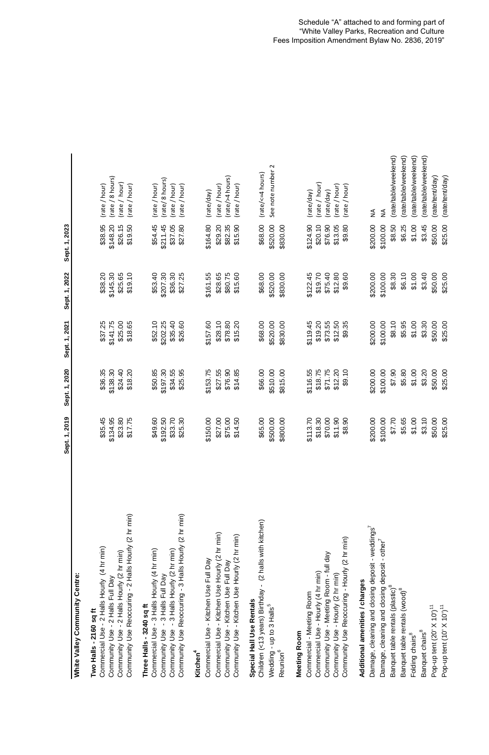|                                                                                                                                                                                                                                                                                                                                                                                                          | Sept. 1, 2019                                                                      | Sept. 1, 2020                                                                     | Sept. 1, 2021                                                                      | Sept. 1, 2022                                                                      | Sept. 1, 2023                                                                      |                                                                                                                                              |
|----------------------------------------------------------------------------------------------------------------------------------------------------------------------------------------------------------------------------------------------------------------------------------------------------------------------------------------------------------------------------------------------------------|------------------------------------------------------------------------------------|-----------------------------------------------------------------------------------|------------------------------------------------------------------------------------|------------------------------------------------------------------------------------|------------------------------------------------------------------------------------|----------------------------------------------------------------------------------------------------------------------------------------------|
| White Valley Community Centre:                                                                                                                                                                                                                                                                                                                                                                           |                                                                                    |                                                                                   |                                                                                    |                                                                                    |                                                                                    |                                                                                                                                              |
| Community Use Reoccuring - 2 Halls Hourly (2 hr min)<br>Commercial Use - 2 Halls Hourly (4 hr min)<br>Community Use - 2 Halls Hourly (2 hr min)<br>Community Use - 2 Halls Full Day<br>Two Halls - 2160 sq ft                                                                                                                                                                                            | \$35.45<br>\$134.95<br>\$23.80<br>\$17.75                                          | \$138.30<br>\$24.40<br>\$36.35<br>\$18.20                                         | \$37.25<br>\$141.75<br>\$25.00<br>\$18.65                                          | \$145.30<br>\$19.10<br>\$38.20<br>\$25.65                                          | \$148.20<br>\$38.95<br>\$26.15<br>\$19.50                                          | rate / 8 hours)<br>rate/hour)<br>(rate / hour)<br>(rate / hour)                                                                              |
| Community Use Reoccuring - 3 Halls Hourly (2 hr min)<br>Commercial Use - 3 Halls Hourly (4 hr min)<br>-3 Halls Hourly (2 hr min)<br>-3 Halls Full Day<br>Three Halls - 3240 sq ft<br>Community Use<br>Community Use                                                                                                                                                                                      | \$49.60<br>\$192.50<br>\$33.70<br>$\overline{30}$<br>\$25.                         | \$197.30<br>\$34.55<br>\$50.85<br>\$25.95                                         | \$52.10<br>\$202.25<br>\$35.40<br>\$26.60                                          | \$207.30<br>\$53.40<br>\$36.30<br>\$27.25                                          | \$54.45<br>\$211.45<br>\$27.80<br>\$37.05                                          | (rate/8 hours)<br>(rate / hour)<br>(rate / hour)<br>(rate / hour)                                                                            |
| Commercial Use - Kitchen Use Hourly (2 hr min)<br>Community Use - Kitchen Use Hourly (2 hr min)<br>Commercial Use - Kitchen Use Full Day<br>Community Use - Kitchen Use Full Day<br>Kitchen <sup>4</sup>                                                                                                                                                                                                 | \$150.00<br>\$27.00<br>\$75.00<br>SQ.<br>\$14                                      | \$27.55<br>\$76.90<br>\$14.85<br>\$153.75                                         | \$157.60<br>\$28.10<br>\$78.80<br>\$15.20                                          | \$15.60<br>\$28.65<br>\$80.75<br>\$161.55                                          | \$164.80<br>\$29.20<br>\$15.90<br>\$82.35                                          | (rate/>4 hours)<br>(rate / hour)<br>(rate/hour)<br>(rate/day)                                                                                |
| Children (<13 years) Birthday - (2 halls with kitchen)<br>Special Hall Use Rentals<br>Wedding - up to 3 Halls <sup>5</sup><br>Reunion <sup>6</sup>                                                                                                                                                                                                                                                       | \$65.00<br>\$500.00<br>OO.<br>\$800.                                               | \$510.00<br>\$66.00<br>\$815.00                                                   | \$68.00<br>\$520.00<br>\$830.00                                                    | \$68.00<br>\$520.00<br>\$830.00                                                    | \$68.00<br>\$520.00<br>\$830.00                                                    | See note number 2<br>(rate/<=4 hours)                                                                                                        |
| Community Use Reoccuring - Hourly (2 hr min)<br>Community Use - Meeting Room - full day<br>Commercial Use - Hourly (4 hr min)<br>Community Use - Hourly (2 hr min)<br>Commercial - Meeting Room<br>Meeting Room                                                                                                                                                                                          | \$113.70<br>\$18.30<br>\$70.00<br>90<br>$\infty$<br>\$11<br>န္တ                    | \$71.75<br>\$12.20<br>\$18.75<br>\$116.55<br>\$9.10                               | \$19.20<br>\$73.55<br>\$12.50<br>\$119.45<br>\$9.35                                | \$19.70<br>\$75.40<br>\$12.80<br>\$9.60<br>\$122.45                                | \$124.90<br>\$20.10<br>\$76.90<br>\$13.05<br>\$9.80                                | rate / hour)<br>(rate / hour)<br>(rate / hour)<br>rate/day)<br>(rate/day)                                                                    |
| Damage, cleaning and closing deposit - weddings <sup>7</sup><br>Damage, cleaning and closing deposit - other <sup>7</sup><br>Additional amenities / charges<br>Banquet table rentals (plastic) <sup>8</sup><br>Banquet table rentals (wood) <sup>8</sup><br>Pop-up tent (20' X 10') <sup>11</sup><br>Pop-up tent (10' X 10') <sup>11</sup><br>Banquet chairs <sup>8</sup><br>Folding chairs <sup>8</sup> | \$200.00<br>\$100.00<br>\$7.70<br>\$5.65<br>\$1.00<br>\$3.10<br>\$50.00<br>\$25.00 | \$100.00<br>06.73<br>\$5.80<br>\$1.00<br>\$3.20<br>\$50.00<br>\$25.00<br>\$200.00 | \$1.00<br>\$3.30<br>\$25.00<br>\$200.00<br>\$100.00<br>\$8.10<br>\$5.95<br>\$50.00 | \$50.00<br>\$25.00<br>\$200.00<br>\$100.00<br>\$8.30<br>\$6.10<br>\$1.00<br>\$3.40 | \$200.00<br>\$1.00<br>\$50.00<br>\$25.00<br>\$100.00<br>\$8.50<br>\$6.25<br>\$3.45 | (rate/table/weekend)<br>(rate/table/weekend)<br>(rate/table/weekend)<br>(rate/table/weekend)<br>(rate/tent/day)<br>(rate/tent/day)<br>≨<br>≨ |
|                                                                                                                                                                                                                                                                                                                                                                                                          |                                                                                    |                                                                                   |                                                                                    |                                                                                    |                                                                                    |                                                                                                                                              |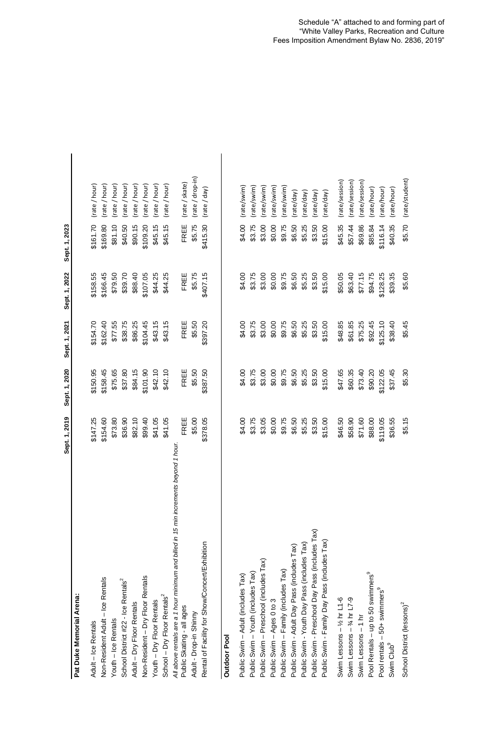|                                                                                       | Sept. 1, 2019 | Sept. 1, 2020 | Sept. 1, 2021 | Sept. 1, 2022 | Sept. 1, 2023 |                  |
|---------------------------------------------------------------------------------------|---------------|---------------|---------------|---------------|---------------|------------------|
| Pat Duke Memorial Arena:                                                              |               |               |               |               |               |                  |
| Adult - Ice Rentals                                                                   | \$147.25      | \$150.95      | \$154.70      | \$158.55      | \$161.70      | (rate / hour)    |
| Non-Resident Adult - Ice Rentals                                                      | \$154.60      | \$158.45      | \$162.40      | \$166.45      | \$169.80      | (rate / hour)    |
| Youth - Ice Rentals                                                                   | \$73.80       | \$75.65       | \$77.55       | \$79.50       | \$81.10       | (rate / hour)    |
| School District #22 - Ice Rentals <sup>2</sup>                                        | \$36.90       | \$37.80       | \$38.75       | \$39.70       | \$40.50       | rate / hour)     |
| Adult - Dry Floor Rentals                                                             | \$82.10       | \$84.15       | \$86.25       | \$88.40       | \$90.15       | (rate / hour)    |
| Non-Resident - Dry Floor Rentals                                                      | \$99.40       | \$101.90      | \$104.45      | \$107.05      | \$109.20      | (rate / hour)    |
| Youth - Dry Floor Rentals                                                             | \$41.05       | \$42.10       | \$43.15       | \$44.25       | \$45.15       | (rate / hour)    |
| School - Dry Floor Rentals <sup>2</sup>                                               | \$41.05       | \$42.10       | \$43.15       | \$44.25       | \$45.15       | (rate / hour)    |
| All above rentals are a 1 hour minimum and billed in 15 min increments beyond 1 hour. |               |               |               |               |               |                  |
| Public Skating - all ages                                                             | 出<br>FR       | FREE          | FREE          | FREE          | FREE          | (rate / skate)   |
| Adult - Drop-in Shinny                                                                | \$5.00        | \$5.50        | \$5.50        | \$5.75        | \$5.75        | (rate / drop-in) |
| Rental of Facility for Show/Concert/Exhibition                                        | \$378.05      | \$387.50      | \$397.20      | \$407.15      | \$415.30      | (rate / day)     |
| <b>Outdoor Pool</b>                                                                   |               |               |               |               |               |                  |
| Public Swim - Adult (includes Tax)                                                    | \$4.00        | \$4.00        | \$4.00        | \$4.00        | \$4.00        | (rate/swim)      |
| Public Swim - Youth (includes Tax)                                                    | \$3.75        | \$3.75        | \$3.75        | \$3.75        | \$3.75        | (rate/swim)      |
| Public Swim - Preschool (includes Tax)                                                | \$3.05        | \$3.00        | \$3.00        | \$3.00        | \$3.00        | (rate/swim)      |
| Public Swim - Ages 0 to 3                                                             | \$0.00        | \$0.00        | \$0.00        | \$0.00        | \$0.00        | (rate/swim)      |
| Public Swim - Family (includes Tax)                                                   | \$9.75        | \$9.75        | \$9.75        | \$9.75        | \$9.75        | rate/swim)       |
| Public Swim - Adult Day Pass (includes Tax)                                           | \$6.50        | \$6.50        | \$6.50        | \$6.50        | \$6.50        | rate/day)        |
| Public Swim - Youth Day Pass (includes Tax)                                           | \$5.25        | \$5.25        | \$5.25        | \$5.25        | \$5.25        | (rate/day)       |
| Public Swim - Preschool Day Pass (includes Tax)                                       | \$3.50        | \$3.50        | \$3.50        | \$3.50        | \$3.50        | (rate/day)       |
| Public Swim - Family Day Pass (includes Tax)                                          | \$15.00       | \$15.00       | \$15.00       | \$15.00       | \$15.00       | (rate/day)       |
| Swim Lessons - 1/2 hr L1-6                                                            | \$46.50       | \$47.65       | \$48.85       | \$50.05       | \$45.35       | (rate/session)   |
| Swim Lessons $-$ % hr L7-9                                                            | \$58.90       | \$60.35       | \$61.85       | \$63.40       | \$57.44       | (rate/session)   |
| Swim Lessons - 1 hr                                                                   | \$71.60       | \$73.40       | \$75.25       | \$77.15       | \$69.86       | (rate/session)   |
| Pool Rentals - up to 50 swimmers <sup>9</sup>                                         | \$88.00       | \$90.20       | \$92.45       | \$94.75       | \$85.84       | (rate/hour)      |
| $-50+$ swimmers $^9$<br>Pool rentals                                                  | \$119.05      | \$122.05      | \$125.10      | \$128.25      | \$116.14      | (rate/hour)      |
| Swim Club <sup>9</sup>                                                                | \$36.55       | \$37.45       | \$38.40       | \$39.35       | \$40.35       | (rate/hour)      |
| School District (lessons) <sup>2</sup>                                                | \$5.15        | \$5.30        | \$5.45        | \$5.60        | \$5.70        | (rate/student)   |

Schedule "A" attached to and forming part of "White Valley Parks, Recreation and Culture Fees Imposition Amendment Bylaw No. 2836, 2019"